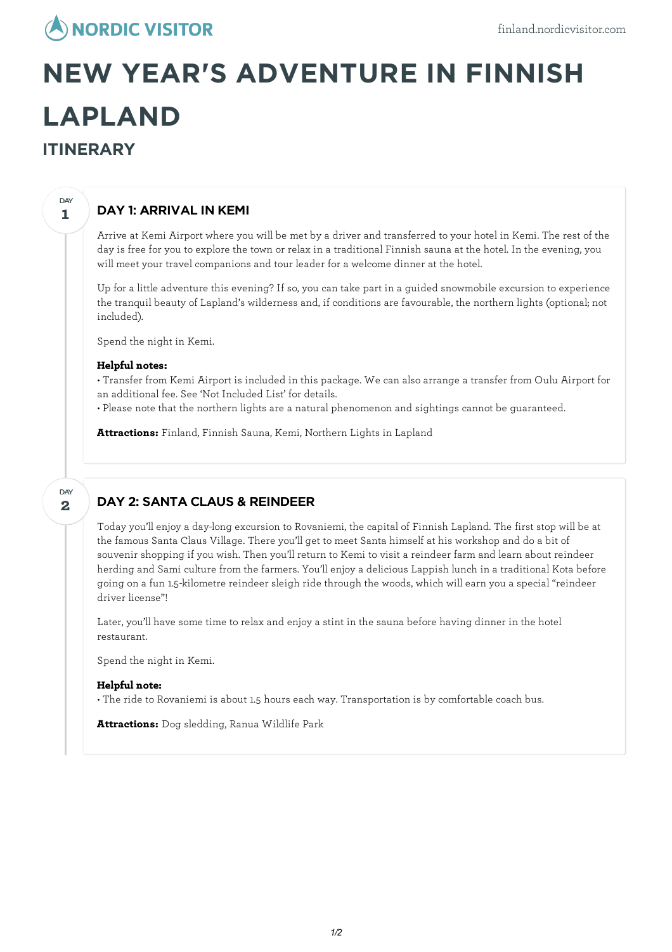## **ANORDIC VISITOR**

# **NEW YEAR'S ADVENTURE IN FINNISH LAPLAND ITINERARY**

## DAY 1: ARRIVAL IN KEMI

Arrive at Kemi Airport where you will be met by a driver and transferred to your hotel in Kemi. The rest of the day is free for you to explore the town or relax in a traditional Finnish sauna at the hotel. In the evening, you will meet your travel companions and tour leader for a welcome dinner at the hotel.

Up for a little adventure this evening? If so, you can take part in a guided snowmobile excursion to experience the tranquil beauty of Lapland's wilderness and, if conditions are favourable, the northern lights (optional; not included).

Spend the night in Kemi.

#### **Helpful notes:**

• Transfer from Kemi Airport is included in this package. We can also arrange a transfer from Oulu Airport for an additional fee. See 'Not Included List' for details.

• Please note that the northern lights are a natural phenomenon and sightings cannot be guaranteed.

**Attractions:** Finland, Finnish Sauna, Kemi, Northern Lights in Lapland

#### **2** DAY

**1**

DAY

## DAY 2: SANTA CLAUS & REINDEER

Today you'llenjoy a day-long excursion to Rovaniemi, the capital of Finnish Lapland. The first stop will be at the famous Santa Claus Village. There you'll get to meet Santa himself at his workshop and do a bit of souvenir shopping if you wish. Then you'll return to Kemi to visit a reindeer farm and learn about reindeer herding and Sami culture from the farmers. You'llenjoy a delicious Lappish lunch in a traditional Kota before going on a fun 1.5-kilometre reindeer sleigh ride through the woods, which willearn you a special "reindeer driver license"!

Later, you'll have some time to relax and enjoy a stint in the sauna before having dinner in the hotel restaurant.

Spend the night in Kemi.

#### **Helpful note:**

• The ride to Rovaniemi is about 1.5 hours each way. Transportation is by comfortable coach bus.

**Attractions:** Dog sledding, Ranua Wildlife Park